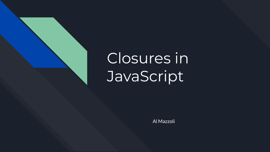

# Closures in **JavaScript**

Al Mazzoli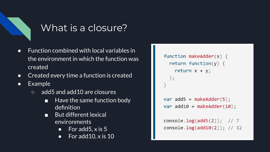

## What is a closure?

- Function combined with local variables in the environment in which the function was created
- Created every time a function is created
- Example
	- add5 and add10 are closures
		- Have the same function body definition
		- But different lexical environments
			- For add  $5, x$  is  $5$
			- For add  $10, x$  is  $10$

```
function makeAdder(x) {
  return function(y) \{return x + y;
 \};
var add5 = makeAdder(5);var add10 = makeAdder(10);
```

```
console. log(add5(2)); // 7
console. log(add10(2)); // 12
```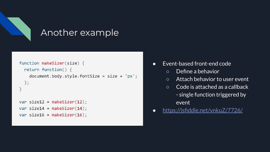

### Another example

```
function makeSizer(size) {
  return function() {
    document.body.style.fontSize = size + 'px';\};
var size12 = makeSize(12);
var size14 = makesizer(14);
var size16 = makeSize(16);
```
- Event-based front-end code
	- Define a behavior
	- Attach behavior to user event
	- Code is attached as a callback - single function triggered by event
- <https://jsfiddle.net/vnkuZ/7726/>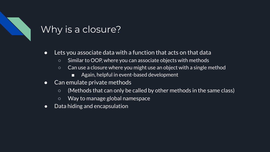## Why is a closure?

- Lets you associate data with a function that acts on that data
	- Similar to OOP, where you can associate objects with methods
	- Can use a closure where you might use an object with a single method
		- Again, helpful in event-based development
- Can emulate private methods
	- (Methods that can only be called by other methods in the same class)
	- Way to manage global namespace
- Data hiding and encapsulation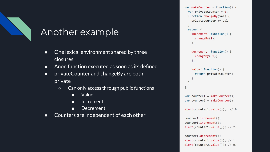### Another example

- One lexical environment shared by three closures
- Anon function executed as soon as its defined
- privateCounter and changeBy are both private
	- Can only access through public functions
		- Value
		- Increment
		- Decrement
- Counters are independent of each other

```
var makeCounter = function() \{var privateCounter = 0;
 function changeBy(val) {
    privateCounter += val;
 return {
   increment: function() {
      changeBy(1);\},
    decrement: function() {
      changeBy(-1);\},
   value: function() {
      return privateCounter;
\};
var counter1 = makeCounter();var counter2 = makeCounter();altert(counter1.value()); // 0.counter1.increment();
counter1.increment();
alert(counter1.value()); // 2.counter1.decrement();
```
 $alert(counter1.value()); // 1.$  $alert(counter2.value()); // 0.$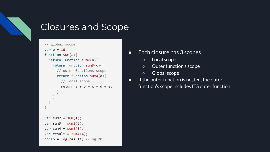

## Closures and Scope

```
// global scope
var e = 10;
function sum(a){
  return function sum2(b){
   return function sum3(c){
      // outer functions scope
      return function sum4(d)// local scope
        return a + b + c + d + e;
var sum2 = sum(1);
var sum3 = sum2(2);var sum4 = sum3(3);var result = sum4(4);
console.log(result) //log 20
```
- Each closure has 3 scopes
	- Local scope
	- Outer function's scope
	- Global scope
- If the outer function is nested, the outer function's scope includes ITS outer function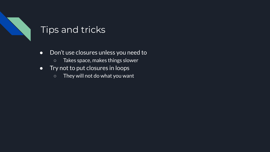## Tips and tricks

- Don't use closures unless you need to
	- Takes space, makes things slower
- Try not to put closures in loops
	- They will not do what you want